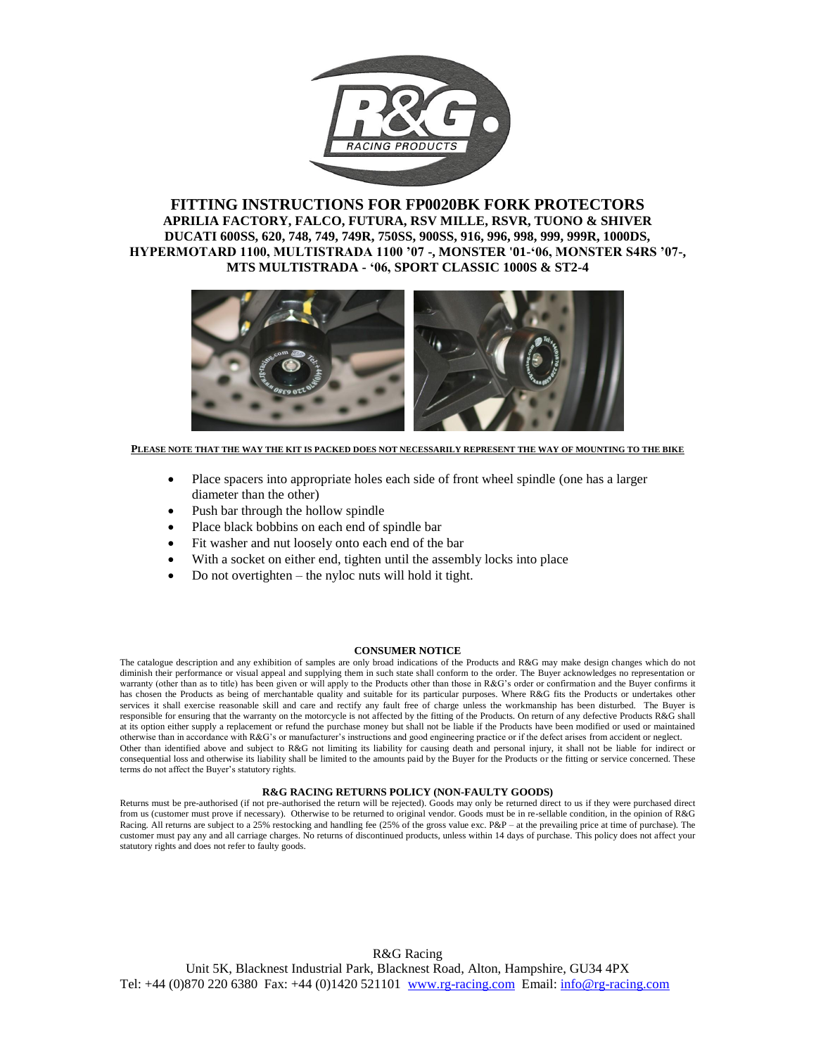

### **FITTING INSTRUCTIONS FOR FP0020BK FORK PROTECTORS APRILIA FACTORY, FALCO, FUTURA, RSV MILLE, RSVR, TUONO & SHIVER DUCATI 600SS, 620, 748, 749, 749R, 750SS, 900SS, 916, 996, 998, 999, 999R, 1000DS, HYPERMOTARD 1100, MULTISTRADA 1100 '07 -, MONSTER '01-'06, MONSTER S4RS '07-, MTS MULTISTRADA - '06, SPORT CLASSIC 1000S & ST2-4**



**PLEASE NOTE THAT THE WAY THE KIT IS PACKED DOES NOT NECESSARILY REPRESENT THE WAY OF MOUNTING TO THE BIKE**

- Place spacers into appropriate holes each side of front wheel spindle (one has a larger diameter than the other)
- Push bar through the hollow spindle
- Place black bobbins on each end of spindle bar
- Fit washer and nut loosely onto each end of the bar
- With a socket on either end, tighten until the assembly locks into place
- Do not overtighten the nyloc nuts will hold it tight.

#### **CONSUMER NOTICE**

The catalogue description and any exhibition of samples are only broad indications of the Products and R&G may make design changes which do not diminish their performance or visual appeal and supplying them in such state shall conform to the order. The Buyer acknowledges no representation or warranty (other than as to title) has been given or will apply to the Products other than those in R&G's order or confirmation and the Buyer confirms it has chosen the Products as being of merchantable quality and suitable for its particular purposes. Where R&G fits the Products or undertakes other services it shall exercise reasonable skill and care and rectify any fault free of charge unless the workmanship has been disturbed. The Buyer is responsible for ensuring that the warranty on the motorcycle is not affected by the fitting of the Products. On return of any defective Products R&G shall at its option either supply a replacement or refund the purchase money but shall not be liable if the Products have been modified or used or maintained otherwise than in accordance with R&G's or manufacturer's instructions and good engineering practice or if the defect arises from accident or neglect. Other than identified above and subject to R&G not limiting its liability for causing death and personal injury, it shall not be liable for indirect or consequential loss and otherwise its liability shall be limited to the amounts paid by the Buyer for the Products or the fitting or service concerned. These terms do not affect the Buyer's statutory rights.

#### **R&G RACING RETURNS POLICY (NON-FAULTY GOODS)**

Returns must be pre-authorised (if not pre-authorised the return will be rejected). Goods may only be returned direct to us if they were purchased direct from us (customer must prove if necessary). Otherwise to be returned to original vendor. Goods must be in re-sellable condition, in the opinion of R&G Racing. All returns are subject to a 25% restocking and handling fee (25% of the gross value exc. P&P – at the prevailing price at time of purchase). The customer must pay any and all carriage charges. No returns of discontinued products, unless within 14 days of purchase. This policy does not affect your statutory rights and does not refer to faulty goods.